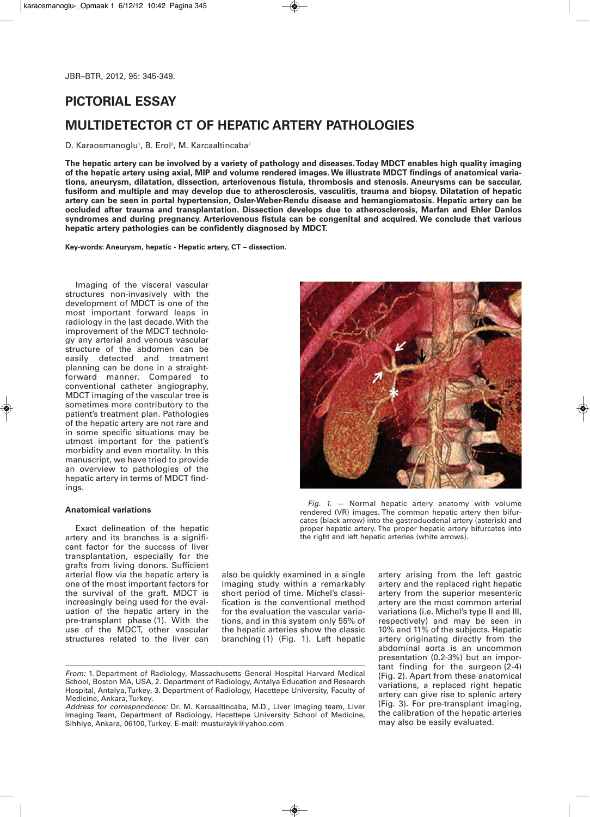# **PICTORIAL ESSAY**

# **MULTIDETECTOR CT OF HEPATIC ARTERY PATHOLOGIES**

# D. Karaosmanoglu<sup>1</sup>, B. Erol<sup>2</sup>, M. Karcaaltincaba<sup>3</sup>

The hepatic artery can be involved by a variety of pathology and diseases. Today MDCT enables high quality imaging of the hepatic artery using axial, MIP and volume rendered images. We illustrate MDCT findings of anatomical varia**tions, aneurysm, dilatation, dissection, arteriovenous fistula, thrombosis and stenosis. Aneurysms can be saccular,** fusiform and multiple and may develop due to atherosclerosis, vasculitis, trauma and biopsy. Dilatation of hepatic **artery can be seen in portal hypertension, Osler-Weber-Rendu disease and hemangiomatosis. Hepatic artery can be occluded after trauma and transplantation. Dissection develops due to atherosclerosis, Marfan and Ehler Danlos syndromes and during pregnancy. Arteriovenous fistula can be congenital and acquired. We conclude that various hepatic artery pathologies can be confidently diagnosed by MDCT.**

**Key-words: Aneurysm, hepatic - Hepatic artery, CT – dissection.**

Imaging of the visceral vascular structures non-invasively with the development of MDCT is one of the most important forward leaps in radiology in the last decade.With the improvement of the MDCT technology any arterial and venous vascular structure of the abdomen can be easily detected and treatment planning can be done in a straightforward manner. Compared to conventional catheter angiography, MDCT imaging of the vascular tree is sometimes more contributory to the patient's treatment plan. Pathologies of the hepatic artery are not rare and in some specific situations may be utmost important for the patient's morbidity and even mortality. In this manuscript, we have tried to provide an overview to pathologies of the hepatic artery in terms of MDCT findings.

## **Anatomical variations**

Exact delineation of the hepatic artery and its branches is a significant factor for the success of liver transplantation, especially for the grafts from living donors. Sufficient arterial flow via the hepatic artery is one of the most important factors for the survival of the graft. MDCT is increasingly being used for the evaluation of the hepatic artery in the pre-transplant phase (1). With the use of the MDCT, other vascular structures related to the liver can

also be quickly examined in a single imaging study within a remarkably short period of time. Michel's classification is the conventional method for the evaluation the vascular variations, and in this system only 55% of the hepatic arteries show the classic branching (1) (Fig. 1). Left hepatic

*Fig. 1. —* Normal hepatic artery anatomy with volume

rendered (VR) images. The common hepatic artery then bifurcates (black arrow) into the gastroduodenal artery (asterisk) and proper hepatic artery. The proper hepatic artery bifurcates into the right and left hepatic arteries (white arrows).

artery arising from the left gastric artery and the replaced right hepatic artery from the superior mesenteric artery are the most common arterial variations (i.e. Michel's type II and III, respectively) and may be seen in 10% and 11% of the subjects. Hepatic artery originating directly from the abdominal aorta is an uncommon presentation (0.2-3%) but an important finding for the surgeon (2-4) (Fig. 2). Apart from these anatomical variations, a replaced right hepatic artery can give rise to splenic artery (Fig. 3). For pre-transplant imaging, the calibration of the hepatic arteries may also be easily evaluated.



*From:* 1. Department of Radiology, Massachusetts General Hospital Harvard Medical School, Boston MA, USA, 2. Department of Radiology, Antalya Education and Research Hospital, Antalya,Turkey, 3. Department of Radiology, Hacettepe University, Faculty of Medicine, Ankara,Turkey.

*Address for correspondence:* Dr. M. Karcaaltincaba, M.D., Liver imaging team, Liver Imaging Team, Department of Radiology, Hacettepe University School of Medicine, Sihhiye, Ankara, 06100,Turkey. E-mail: musturayk@yahoo.com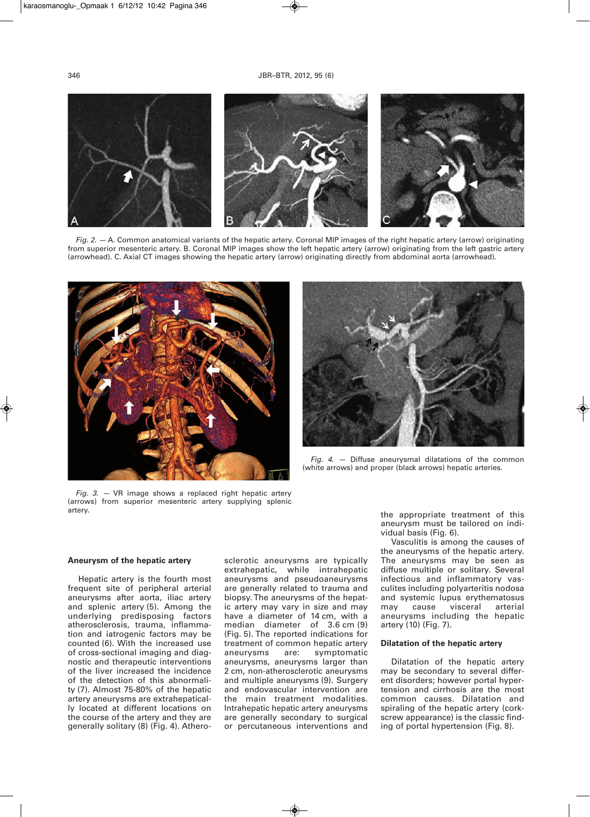

*Fig. 2. —* A. Common anatomical variants of the hepatic artery. Coronal MIP images of the right hepatic artery (arrow) originating from superior mesenteric artery. B. Coronal MIP images show the left hepatic artery (arrow) originating from the left gastric artery (arrowhead). C. Axial CT images showing the hepatic artery (arrow) originating directly from abdominal aorta (arrowhead).



*Fig. 4. —* Diffuse aneurysmal dilatations of the common (white arrows) and proper (black arrows) hepatic arteries.

*Fig. 3. —* VR image shows a replaced right hepatic artery (arrows) from superior mesenteric artery supplying splenic artery.

# **Aneurysm of the hepatic artery**

Hepatic artery is the fourth most frequent site of peripheral arterial aneurysms after aorta, iliac artery and splenic artery (5). Among the underlying predisposing factors atherosclerosis, trauma, inflammation and iatrogenic factors may be counted (6). With the increased use of cross-sectional imaging and diagnostic and therapeutic interventions of the liver increased the incidence of the detection of this abnormality (7). Almost 75-80% of the hepatic artery aneurysms are extrahepatically located at different locations on the course of the artery and they are generally solitary (8) (Fig. 4). Atherosclerotic aneurysms are typically extrahepatic, while intrahepatic aneurysms and pseudoaneurysms are generally related to trauma and biopsy. The aneurysms of the hepatic artery may vary in size and may have a diameter of 14 cm, with a median diameter of 3.6 cm (9) (Fig. 5). The reported indications for treatment of common hepatic artery aneurysms are: symptomatic aneurysms, aneurysms larger than 2 cm, non-atherosclerotic aneurysms and multiple aneurysms (9). Surgery and endovascular intervention are the main treatment modalities. Intrahepatic hepatic artery aneurysms are generally secondary to surgical or percutaneous interventions and the appropriate treatment of this aneurysm must be tailored on individual basis (Fig. 6).

Vasculitis is among the causes of the aneurysms of the hepatic artery. The aneurysms may be seen as diffuse multiple or solitary. Several infectious and inflammatory vasculites including polyarteritis nodosa and systemic lupus erythematosus may cause visceral arterial aneurysms including the hepatic artery (10) (Fig. 7).

## **Dilatation of the hepatic artery**

Dilatation of the hepatic artery may be secondary to several different disorders; however portal hypertension and cirrhosis are the most common causes. Dilatation and spiraling of the hepatic artery (corkscrew appearance) is the classic finding of portal hypertension (Fig. 8).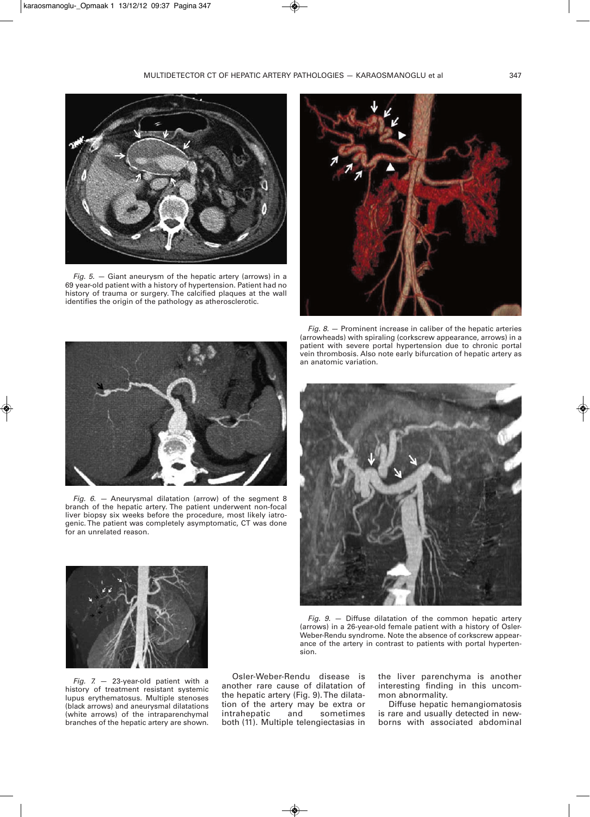

*Fig. 5. —* Giant aneurysm of the hepatic artery (arrows) in a 69 year-old patient with a history of hypertension. Patient had no history of trauma or surgery. The calcified plaques at the wall identifies the origin of the pathology as atherosclerotic.





*Fig. 6. —* Aneurysmal dilatation (arrow) of the segment 8 branch of the hepatic artery. The patient underwent non-focal liver biopsy six weeks before the procedure, most likely iatrogenic. The patient was completely asymptomatic, CT was done for an unrelated reason.



*Fig. 7.* — 23-year-old patient with a history of treatment resistant systemic lupus erythematosus. Multiple stenoses (black arrows) and aneurysmal dilatations (white arrows) of the intraparenchymal branches of the hepatic artery are shown.

Osler-Weber-Rendu disease is another rare cause of dilatation of the hepatic artery (Fig. 9). The dilatation of the artery may be extra or<br>intrahepatic and sometimes intrahepatic both (11). Multiple telengiectasias in

*Fig. 8.* — Prominent increase in caliber of the hepatic arteries (arrowheads) with spiraling (corkscrew appearance, arrows) in a patient with severe portal hypertension due to chronic portal vein thrombosis. Also note early bifurcation of hepatic artery as an anatomic variation.



*Fig. 9.* — Diffuse dilatation of the common hepatic artery (arrows) in a 26-year-old female patient with a history of Osler-Weber-Rendu syndrome. Note the absence of corkscrew appearance of the artery in contrast to patients with portal hypertension.

the liver parenchyma is another interesting finding in this uncommon abnormality.

Diffuse hepatic hemangiomatosis is rare and usually detected in newborns with associated abdominal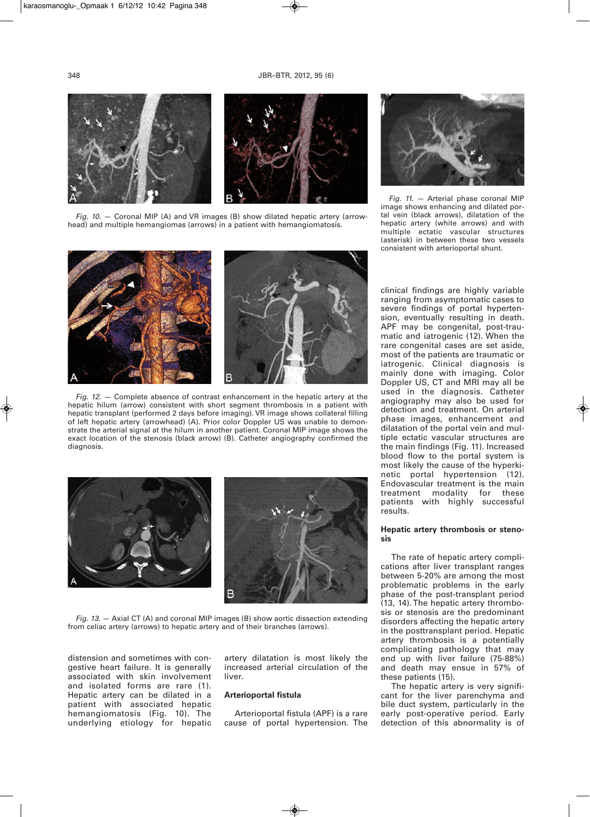

*Fig. 10.* — Coronal MIP (A) and VR images (B) show dilated hepatic artery (arrowhead) and multiple hemangiomas (arrows) in a patient with hemangiomatosis.



*Fig. 12.* — Complete absence of contrast enhancement in the hepatic artery at the hepatic hilum (arrow) consistent with short segment thrombosis in a patient with hepatic transplant (performed 2 days before imaging). VR image shows collateral filling of left hepatic artery (arrowhead) (A). Prior color Doppler US was unable to demonstrate the arterial signal at the hilum in another patient. Coronal MIP image shows the exact location of the stenosis (black arrow) (B). Catheter angiography confirmed the diagnosis.



*Fig. 13.* — Axial CT (A) and coronal MIP images (B) show aortic dissection extending from celiac artery (arrows) to hepatic artery and of their branches (arrows).

distension and sometimes with congestive heart failure. It is generally associated with skin involvement and isolated forms are rare (1). Hepatic artery can be dilated in a patient with associated hepatic hemangiomatosis (Fig. 10). The underlying etiology for hepatic

artery dilatation is most likely the increased arterial circulation of the liver.

## **Arterioportal fistula**

Arterioportal fistula (APF) is a rare cause of portal hypertension. The



*Fig. 11.* — Arterial phase coronal MIP image shows enhancing and dilated portal vein (black arrows), dilatation of the hepatic artery (white arrows) and with multiple ectatic vascular structures (asterisk) in between these two vessels consistent with arterioportal shunt.

clinical findings are highly variable ranging from asymptomatic cases to severe findings of portal hypertension, eventually resulting in death. APF may be congenital, post-traumatic and iatrogenic (12). When the rare congenital cases are set aside, most of the patients are traumatic or iatrogenic. Clinical diagnosis is mainly done with imaging. Color Doppler US, CT and MRI may all be used in the diagnosis. Catheter angiography may also be used for detection and treatment. On arterial phase images, enhancement and dilatation of the portal vein and multiple ectatic vascular structures are the main findings (Fig. 11). Increased blood flow to the portal system is most likely the cause of the hyperkinetic portal hypertension (12). Endovascular treatment is the main treatment modality for these patients with highly successful results.

# **Hepatic artery thrombosis or stenosis**

The rate of hepatic artery complications after liver transplant ranges between 5-20% are among the most problematic problems in the early phase of the post-transplant period (13, 14). The hepatic artery thrombosis or stenosis are the predominant disorders affecting the hepatic artery in the posttransplant period. Hepatic artery thrombosis is a potentially complicating pathology that may end up with liver failure (75-88%) and death may ensue in 57% of these patients (15).

The hepatic artery is very significant for the liver parenchyma and bile duct system, particularly in the early post-operative period. Early detection of this abnormality is of